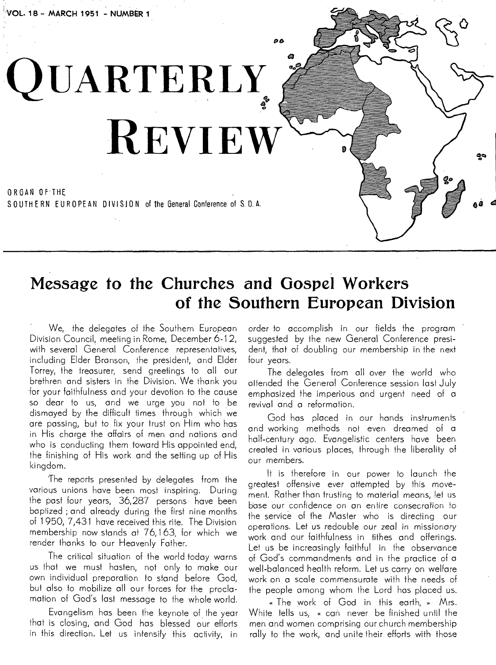# **QUARTERLY. REVIEW**

ORGAN OF- THE SOUTHERN EURO PE AN DIVISION of the General Conference of S. D. A.

# **Message to the Churches and Gospel Workers of the Southern European Division**

ρb

We, the delegates of the Southern European Division Council, meeting in Rome, December 6-12, with several General Conference representatives, including Elder Branson, the president, and Elder Torrey, the treasurer, send greetings to all our brethren and sisters in the Division, We thank you for your faithfulness and your devotion to the cause so dear to us, and we urge you not to be dismayed by the difficult times through which we are passing, but to fix your trust on Him who has in His charge the affairs of men and nations and who is conducting them toward His appointed end, the finishing of His work and the setting up of His kingdom.

The reports presented by delegates from the various unions have been most inspiring. During the past four years, 36,287 persons have been baptized ; and already during the first nine months of 1950, 7,431 have received this rite. The Division membership now stands at 76,163, for which we render thanks to our Heavenly Father.

The critical situation of the world today warns us that we must hasten, not only to make our own individual preparation to stand before God, but also to mobilize all our forces for the proclamation of God's last message to the whole world.

Evangelism has been the keynote of the year that is closing, and God has blessed our efforts in this direction. Let us intensify this activity, in order to accomplish in our fields the program suggested by the new General Conference president, that of doubling our membership in the next four years.

The delegates from all over the world who attended the General Conference session last July emphasized the imperious and urgent need of a revival and a reformation.

God has placed in our hands instruments and working methods not even dreamed of a half-century ago. Evangelistic centers have been created in various places, through the liberality of our members.

It is therefore in our power to launch the greatest offensive ever attempted by this movement. Rather than trusting to material means, !et us base our confidence on an entire consecration to the service of the Master who is directing our operations. Let us redouble our zeal in missionary work and our faithfulness in tithes and offerings. Let us be increasingly faithful in the observance of God's commandments and in the practice of a well-balanced health reform. Let us carry on welfare work on a scale commensurate with the needs of the people among whom the Lord has placed us.

« The work of God in this earth, » Mrs. White tells us, « can never be finished until the men and women comprising our church membership rally to the work, and unite their efforts with those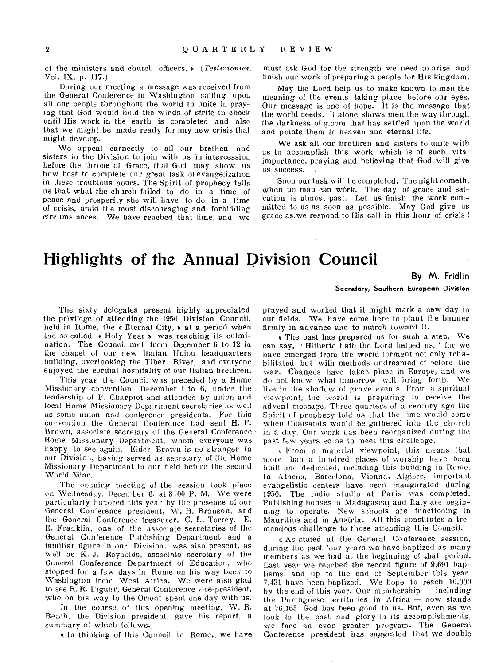of the ministers and church officers. D *(Testimonies,*  Vol. IX, p. 117.)

During our meeting a message was received from the General Conference in Washington calling upon all our people throughout the world to unite in praying that God would hold the winds of strife in check until His work in the earth is completed and also that we might be made ready for any new crisis that might develop.

We appeal earnestly to all our brethen and sisters in the Division to join with us in intercession before the throne of Grace, that God may show us how best to complete our great task of evangelization in these troublous hours. The Spirit of prophecy tells us that what the church failed to do in a time of peace and prosperity she will have to do in a time of crisis, amid the most discouraging and forbidding circumstances. We have reached that time, and we

must ask God for the strength we need to arise and finish our work of preparing a people for His kingdom.

May the Lord help us to make known to men the meaning of the events taking place before our eyes. Our message is one of hope. It is the message that the world needs. It alone shows men the way through the darkness of gloom that has settled upon the world and points them to heaven and eternal life.

We ask all our brethren and sisters to unite with us to accomplish this work which is of such vital importance, praying and believing that God will give us success.

Soon our task will be completed. The night cometh, when no man can work. The day of grace and salvation is almost past. Let us finish the work committed to us as soon as possible. May God give us grace as we respond to His call in this hour of crisis !

# **Highlights of the Annual Division Council**

**By M. Fridlin** 

Secretary, Southern European Division

The sixty delegates present highly appreciated the privilege of attending the 1950 Division Council, held in Rome, the « Eternal City, » at a period when the so-called « Holy Year » was reaching its culmination. The Council met from December 6 to 12 in the chapel of our new Italian Union headquarters building, overlooking the Tiber River, and everyone enjoyed the cordial hospitality of our Italian brethren.

This year the Council was preceded by a Home Missionary convention, December 1 to 6, under the leadership of F. Charpiot and attended by union and local Home Missionary Department secretaries as well as some union and conference presidents. For this convention the General Conference had sent H. F. Brown, associate secretary of the General Conference Home Missionary Department, whom everyone was happy to see again. Elder Brown is no stranger in our Division, having served as secretary of the Home Missionary Department in our field before the second World War.

The opening meeting of the session took place on Wednesday, December 6, at 8:00 P. M. We were particularly honored this year by the presence of our General Conference president, W. H. Branson, and the General Conference treasurer, C. L. Torrey. E. E. Franklin, one of the associate secretaries of the General Conference Publishing Department and a familiar figure in our Division, was also present, as well as K. J. Reynolds, associate secretary of the General Conference Department of Education, who stopped for a few days in Rome on his way back to Washington from West Africa. We were also glad to see R. R. Figuhr, General Conference vice-president, who on his way to the Orient spent one day with us.

In the course of this opening meeting, W. R. Beach, the Division president, gave his report, a summary of which follows,

e In thinking of this Council in Rome,, we have

prayed and worked that it might mark a new day in our fields. We have come here to plant the banner firmly in advance and to march toward it.

e The past has prepared us for such a step. We can say, 'Hitherto hath the Lord helped us, ' for we have emerged from the world torment not only rehabilitated but with methods undreamed of before the war. Changes have taken place in Europe, and we do not know what tomorrow will bring forth. We live in the shadow of grave events. From a spiritual viewpoint, the world is preparing to receive the advent message. Three quarters of a century ago the Spirit of prophecy told us that the time would come when thousands would be gathered into the church in a day. Our work has been reorganized during the past few years so as to meet this challenge.

e From a mates ial viewpoint, this means that more than a hundred places of worship have been built and dedicated, including this building in Rome. In Athens, Barcelona, Vienna, Algiers, important evangelistic centers have been inaugurated during 1950. The radio studio at Paris was completed. Publishing houses in Madagascar and Italy are beginning to operate. New schools are functioning in Mauritius and in Austria. All this constitutes a tremendous challenge to those attending this Council.

• As stated at the General Conference session, during the past four years we have baptized as many members as we had at the beginning of that period. Last year we reached the record figure of 9,691 baptisms, and up to the end of September this year, 7,431 have been baptized. We hope to reach 10,000 by the end of this year. Our membership — including the Portuguese territories in Africa — now stands at 76,163. God has been good to us. But, even as we look to the past and glory in its accomplishments, we face an even greater program. The General Conference president has suggested that we double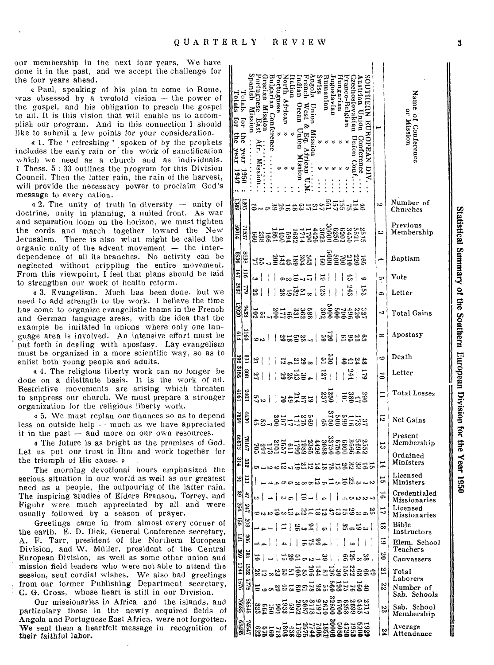our membership in the next four years. We have done it in the past, and we accept the challenge for the four years ahead.

« Paul, speaking of his plan to come to Rome, was obsessed by a twofold vision - the power of the gospel, and his obligation to preach the gospel to all. It is this vision that will enable us to accomplish our program. And in this connection I should like to submit a few points for your consideration.

« 1. The 'refreshing' spoken of by the prophets includes the early rain or the work of sanctification which we need as a church and as individuals. 1 Thess. 5:33 outlines the program for this Division Council. Then the latter rain, the rain of the harvest, will provide the necessary power to proclaim God's message to every nation.

« 2. The unity of truth in diversity - unity of doctrine, unity in planning, a united front. As war and separation loom on the horizon, we must tighten the cords and march together toward the New Jerusalem. There is also what might be called the organic unity of the advent movement - the interdependence of all its branches. No activity can be neglected without crippling the entire movement. From this viewpoint, I feel that plans should be laid to strengthen our work of health reform.

« 3. Evangelism. Much has been done, but we need to add strength to the work. I believe the time has come to organize evangelistic teams in the French and German language areas, with the idea that the example be imitated in unions where only one language area is involved. An intensive effort must be put forth in dealing with apostasy. Lay evangelism must be organized in a more scientific way, so as to enlist both young people and adults.

« 4. The religious liberty work can no longer be done on a dilettante basis. It is the work of all. Restrictive movements are arising which threaten to suppress our church. We must prepare a stronger organization for the religious liberty work.

« 5. We must replan our finances so as to depend less on outside help  $-$  much as we have appreciated it in the past  $-$  and more on our own resources.

« The future is as bright as the promises of God. Let us put our trust in Him and work together for the triumph of His cause. »

The morning devotional hours emphasized the serious situation in our world as well as our greatest need as a people, the outpouring of the latter rain. The inspiring studies of Elders Branson, Torrey, and Figuhr were much appreciated by all and were usually followed by a season of prayer.

Greetings came in from almost every corner of the earth. E. D. Dick, General Conference secretary, A. F. Tarr, president of the Northern European Division, and W. Müller, president of the Central European Division, as well as some other union and mission field leaders who were not able to attend the session, sent cordial wishes. We also had greetings from our former Publishing Department secretary, C. G. Cross, whose heart is still in our Division.

Our missionaries in Africa and the islands, and particulary those in the newly acquired fields of Angola and Portuguese East Africa, were not forgotten. We sent them a heartfelt message in recognition of their faithful labor.

| $\Gamma_{\text{crit}}$<br><b>Lotals</b><br>far<br>tor<br>Ë<br><b>S</b><br>year<br>rear<br>6761 | Mission<br>096           | uennsn<br>zechoslovakian<br>unanian<br>orth Afr<br>igosiavian<br>ranco-Belgiai<br>arar<br>XSI A<br>ungarian<br><u>ក្នុ</u><br>tarian Conterence<br>rguese<br>rgues.<br>HERN<br>Missior<br>cean<br>Eas<br>EUROPEAN<br>nomu<br>conterence<br>uoissin<br>TOTSSIM<br>ă |                         | Name of Conference<br>or Mission |
|------------------------------------------------------------------------------------------------|--------------------------|--------------------------------------------------------------------------------------------------------------------------------------------------------------------------------------------------------------------------------------------------------------------|-------------------------|----------------------------------|
| 툉                                                                                              | 395                      |                                                                                                                                                                                                                                                                    | b.                      | Number of<br>Churches            |
| 11069                                                                                          | 1937                     |                                                                                                                                                                                                                                                                    | ట                       | Previous<br>Membership           |
| 9668                                                                                           | 8938                     | 1992888 1893 1893<br>8828888 1828 184                                                                                                                                                                                                                              | 4                       | Baptism                          |
| $L_{\rm H}$                                                                                    | <b>SII</b>               | $5 - 1$<br>نت                                                                                                                                                                                                                                                      | c,                      | Vote                             |
| 1867                                                                                           | <b>SLL</b>               | $\frac{143}{343}$<br>123<br>63<br>ೲಱೣಀೣಁಀ<br>$\mathbf{I}$<br>j<br>ļ<br>23                                                                                                                                                                                          | ය                       | Letter                           |
| 12020                                                                                          | SE16                     | 33477583<br>20000000   86336707<br>2000000   86336707<br>នឹឌ                                                                                                                                                                                                       | ↵                       | Total Gains                      |
| 119                                                                                            | ЦØ                       | ुष्टे।<br>1-3253<br>ದಿಜ್ಞಾರ<br>ده ت                                                                                                                                                                                                                                | ∞                       | Apostasy                         |
| 392 3155                                                                                       | $\overline{131}$         | ğ<br>R<br>g<br>ಡಿದ್ದಿದ<br>444 <del>2</del>                                                                                                                                                                                                                         | 6                       | Death                            |
|                                                                                                | 808                      | $rac{17}{244}$<br>  교일금정일<br>51<br>$\overline{1}$<br>24<br>J                                                                                                                                                                                                       | ້ວ                      | Letter                           |
| 1917                                                                                           | 2803                     | 3<br>2012   1921<br>2012   1924<br>$\frac{3}{2}$                                                                                                                                                                                                                   | ∺                       | Total Losses                     |
| 6382                                                                                           | 030                      | 339911<br>200538<br>2006584<br>52111001<br>  22111001<br>59                                                                                                                                                                                                        | ದ                       | Net Gains                        |
| 82899                                                                                          | 78167                    |                                                                                                                                                                                                                                                                    | ಜ                       | Present<br>Membership            |
| 214                                                                                            | 332                      | ೲಀೲಀ                                                                                                                                                                                                                                                               |                         | Ordained<br>Ministers            |
| 의표                                                                                             |                          | ana stanta discono                                                                                                                                                                                                                                                 | 능                       | Licensed<br>Ministers            |
| S                                                                                              | 5.                       | $\frac{1}{4}$ $\frac{1}{1}$ $\frac{1}{1}$ $\frac{1}{1}$ $\frac{1}{1}$<br>I<br><b>LONON</b><br>b)                                                                                                                                                                   | ಕ                       | Credentialed<br>Missionaries     |
| 254                                                                                            | 547                      | ದ ಹಿತ್ತುದ್ದಾಗ ಸಹತ್ವ ಸಮಾಧ್ರ ಸಂತಿ                                                                                                                                                                                                                                    | 5                       | Licensed<br><b>Missionaries</b>  |
| 5g                                                                                             | 208                      | $ n $ $\frac{9}{4}$ $\frac{5}{60}$                                                                                                                                                                                                                                 | $\overline{\mathbf{8}}$ | Bible<br>Instructors             |
| 121<br>569                                                                                     | 90Z                      | $  33.3 - 1$<br>-ł<br><sup>1</sup>                                                                                                                                                                                                                                 | 5                       | Elem. School<br>Teachers         |
| 1344                                                                                           | 381                      | នីនី*នី<br>1846525                                                                                                                                                                                                                                                 | $\overline{6}$          | Canvassers                       |
| 9251                                                                                           | 1532<br>$\overline{176}$ | 466846684666568468468<br>466846666466667684686                                                                                                                                                                                                                     | E                       | Total<br>Laborers                |
|                                                                                                |                          | 186588888888888888                                                                                                                                                                                                                                                 | 22                      | Number of<br>Sab. Schools        |
| 58992                                                                                          | 90545                    | 2152662328328328328322832<br>11466266511062695832568<br>1146666665566858856883838                                                                                                                                                                                  | ಜ                       | Sab. School<br>Membership        |
| 98189                                                                                          | 74547                    | 121450001714171872<br>92970008477274377186<br>9297000994768377872                                                                                                                                                                                                  | ž                       | Average<br>Attendance            |

 $\ddot{\mathbf{3}}$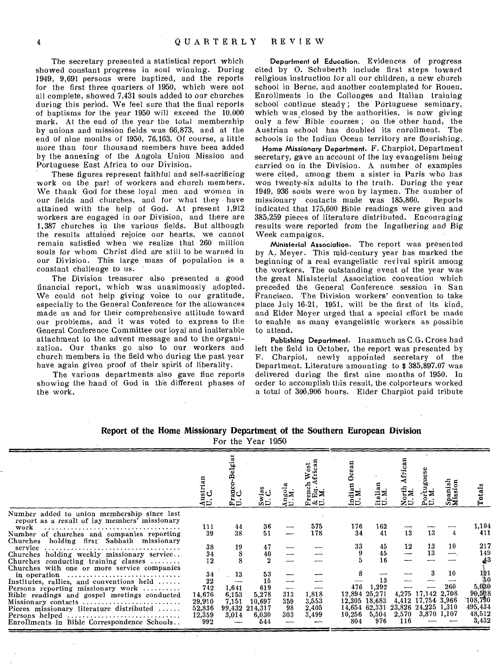The secretary presented a statistical report which showed constant progress in soul winning. During 1949, 9,691 persons were baptized, and the reports for the first three quarters of 1950, which were not all complete, showed 7,431 souls added to our churches during this period. We feel sure that the final reports of baptisms for the year 1950 will exceed the 10,000 mark. At the end of the year the total membership by unions and mission fields was 66,873, and at the end of nine months of 1950, 76,163. Of course, a little more than four thousand members have been added by the annexing of the Angola Union Mission and Portuguese East Africa to our Division.

These figures represent faithful and self-sacrificing work on the part of workers and church members. We thank God for these loyal men and women in our fields and churches, and for what they have attained with the help of God. At present 1,912 workers are engaged in our Division, and there are 1,387 churches in the various fields. But although the results attained reioice our hearts, we cannot remain satisfied when we realize that 260 million souls for whom Christ died are still to be warned in our Division. This large mass of population is a constant challenge to us.

The Division treasurer also presented a good financial report, which was unanimously adopted. We could not help giving voice to our gratitude, especially to the General Conference for the allowances made us and for their comprehensive attitude toward our problems, and it was voted to express to the General Conference Committee our loyal and inalterable attachment to the advent message and to the organization. Our thanks go also to our workers and church members in the field who during the past year have again given proof of their spirit of liberality.

The various departments also gave fine reports showing the hand of God in the different phases of the work.

Department of Education. Evidences of progress cited by 0. Schuberth include first steps toward religious instruction for all our children, a new church school in Berne, and another contemplated for Rouen. Enrollments in the Collonges and Italian training school continue steady; the Portuguese seminary, which was closed by the authorities, is now giving only a few Bible courses ; on the other hand, the Austrian school has doubled its enrollment. The schools in the Indian Ocean territory are flourishing.

Home Missionary Department. F. Charpiot, Department secretary, gave an account of the lay evangelism being carried on in the Division. A number of examples were cited, among them a sister in Paris who has won twenty-six adults to the truth. During the year 1949, 936 souls were won by laymen. The number of missionary contacts made was 185,860. Reports missionary contacts made was 185,860. indicated that 175,600 Bible readings were given and 385,259 pieces of literature distributed. Encouraging results were reported from the Ingathering and Big Week campaigns.

Ministerial Association. The report was presented by A. Meyer. This mid-century year has marked the beginning of a real evangelistic revival spirit among the workers. The outstanding event of the year was the great Ministerial Association convention which preceded the General Conference session in San Francisco. The Division workers' convention to take place July 16-21, 1951, will be the first of its kind, and Elder Meyer urged that a special effort be made to enable as many evangelistic workers as possible to attend.

Publishing Department. Inasmuch as C.G. Cross had left the field in October, the report was presented by F. Charpiot, newly appointed secretary of the Department. Literature amounting to \$ 385,897.07 was delivered during the first nine months of 1950. In order to accomplish this result, the colporteurs worked a total of 306,906 hours. Elder Charpiot paid tribute

| Report of the Home Missionary Department of the Southern European Division |  |  |  |  |  |
|----------------------------------------------------------------------------|--|--|--|--|--|
|----------------------------------------------------------------------------|--|--|--|--|--|

For the Year 1950

|                                                                                                                                                                                                                                           | ustrian<br>I. C.<br>⊲⊳              |                               | ဟ⊃                                 |            | ⊭∝க            | Ĕ<br>ਚ        |                                                   |              |                                          | 문<br>5<br>ā,<br>an.<br>m<br>ಬ್≍ |                                             |
|-------------------------------------------------------------------------------------------------------------------------------------------------------------------------------------------------------------------------------------------|-------------------------------------|-------------------------------|------------------------------------|------------|----------------|---------------|---------------------------------------------------|--------------|------------------------------------------|---------------------------------|---------------------------------------------|
| Number added to union membership since last<br>report as a result of lay members' missionary<br>work<br>Number of churches and companies reporting                                                                                        | 111<br>39                           | 44<br>38                      | 36<br>51                           |            | 575<br>178     | 176<br>34     | 162<br>41                                         | 13           | 13                                       |                                 | 1,104<br>411                                |
| Churches holding first Sabbath missionary<br>service $\ldots \ldots \ldots \ldots \ldots \ldots \ldots \ldots \ldots \ldots \ldots$<br>Churches holding weekly missionary service<br>Churches conducting training classes $\ldots \ldots$ | 38<br>34<br>12                      | 19                            | 47<br>$\frac{40}{2}$               |            |                | 33            | 45<br>45<br>16                                    | 12           | 13<br>13                                 | 10                              | 217<br>149<br>43                            |
| Churches with one or more service companies<br>in operation<br>Institutes, rallies, and conventions held<br>Persons reporting missionary work<br>Bible readings and gospel meetings conducted<br>Missionary contacts                      | 34<br>22<br>742<br>14,676<br>29.910 | 13<br>1,641<br>6,153<br>7,151 | 53<br>15<br>619<br>5,278<br>10,697 | 313<br>359 | 1,818<br>3,553 | 476.          | 1,292<br>12,894 25,271<br>12,305 18,683           |              | 4,275 17,142 2,708<br>4,412 17,754 3,966 | 10<br>260                       | $^{101}_{50}$<br>5,030<br>90.528<br>108,790 |
| Pieces missionary literature distributed<br>Enrollments in Bible Correspondence Schools                                                                                                                                                   | 52,836<br>12,359<br>992             | 99,432<br>3,014               | 214,317<br>6,030<br>544            | 98<br>303  | 2,405<br>3,499 | 10,256<br>804 | 14,654 62,331 23,826 24,225 1,310<br>5,504<br>976 | 2,570<br>116 | 3,870 1,107                              |                                 | 495,434<br>48,512<br>3,432                  |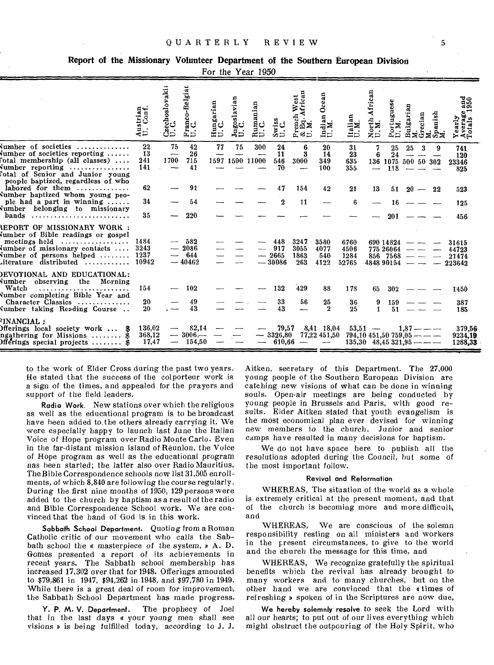|  |  |  |  |  | Report of the Missionary Volunteer Department of the Southern European Division |  |  |  |  |  |
|--|--|--|--|--|---------------------------------------------------------------------------------|--|--|--|--|--|
|--|--|--|--|--|---------------------------------------------------------------------------------|--|--|--|--|--|

For the Year 1950

|                                                                                                                                                                                                                                                                                    | Austrian<br>U. Conf.      | Czechoslovaki<br>U. C.                    | o-Belgian<br>ğd<br>Ė5.               | Hungarian<br>U.C.<br>ن'                       | goslavian<br>C.<br>ಸೆರ | Rumanian<br>U.C.         | Swiss<br>U.C.                  | h West<br>African<br>ench<br>$M$ : $\stackrel{A}{M}$<br>⊊ళ⊃ | Ocean<br>$\overline{\mathbf{a}}$<br>a<br>é۵ | Italian<br>U.M.                                                                                                                              | African<br>North<br>U.M.           | Portuguese<br>U.M.                         |    |                                                                                                                                                                                                                                                                                                                                                                                                                                                                                       | Bulgarian<br>M.<br>Grecian<br>Spanish<br>Spanish | Tearly<br>Average and<br>otals 1950<br>≻ৰ≓        |
|------------------------------------------------------------------------------------------------------------------------------------------------------------------------------------------------------------------------------------------------------------------------------------|---------------------------|-------------------------------------------|--------------------------------------|-----------------------------------------------|------------------------|--------------------------|--------------------------------|-------------------------------------------------------------|---------------------------------------------|----------------------------------------------------------------------------------------------------------------------------------------------|------------------------------------|--------------------------------------------|----|---------------------------------------------------------------------------------------------------------------------------------------------------------------------------------------------------------------------------------------------------------------------------------------------------------------------------------------------------------------------------------------------------------------------------------------------------------------------------------------|--------------------------------------------------|---------------------------------------------------|
| $\lceil$ umber of societies<br>$\lceil$ umber of societies reporting<br>'otal membership (all classes)<br>Number reporting<br>otal of Senior and Junior young'.<br>people baptized, regardless of who                                                                              | 22<br>13<br>241<br>141    | 75<br>--<br>1700                          | 42<br>26<br>715<br>41                | 77<br>--                                      | 75                     | 300<br>1597 1500 11000   | 24<br>11<br>546<br>70          | 6<br>3<br>3000                                              | 20<br>14<br>349<br>100                      | 31<br>23<br>635<br>355                                                                                                                       | 7<br>6<br>$\overline{\phantom{0}}$ | 25<br>24<br>136 1075 500 50 302<br>118     | 25 | 3                                                                                                                                                                                                                                                                                                                                                                                                                                                                                     | 9                                                | 741<br>120<br>23346<br>825                        |
| labored for them $\ldots, \ldots, \ldots$                                                                                                                                                                                                                                          | 62                        |                                           | 91                                   |                                               |                        |                          | 47                             | 154                                                         | 42                                          | 21                                                                                                                                           | 13                                 | 51                                         |    | $20 - 22$                                                                                                                                                                                                                                                                                                                                                                                                                                                                             |                                                  | 523                                               |
| Number baptized whom young peo-<br>ple had a part in winning $\ldots$ .                                                                                                                                                                                                            | 34                        |                                           | 54                                   |                                               |                        |                          | 2                              | 11                                                          |                                             | 6                                                                                                                                            |                                    | 16                                         |    |                                                                                                                                                                                                                                                                                                                                                                                                                                                                                       |                                                  | 125                                               |
| Number belonging to missionary<br>bands                                                                                                                                                                                                                                            | 35                        |                                           | 220                                  |                                               |                        |                          |                                |                                                             |                                             |                                                                                                                                              |                                    | 201                                        |    |                                                                                                                                                                                                                                                                                                                                                                                                                                                                                       |                                                  | 456                                               |
| <b>REPORT OF MISSIONARY WORK :</b><br>Number of Bible readings or gospel<br>meetings held $\dots\dots\dots\dots\dots\dots$<br>Number of missionary contacts $\dots$<br>Number of persons helped $\ldots \ldots \ldots$ 1237<br>Literature distributed $\dots\dots\dots\dots$ 10942 | 1484<br>3243              | $\overline{\phantom{a}}$                  | $-582$<br>$-2086$<br>644<br>$-40462$ |                                               |                        | $\overline{\phantom{a}}$ | 448<br>917<br>2665<br>$-30086$ | 3247<br>3055<br>1863<br>263                                 | 3580<br>4077<br>540<br>4122                 | 6760<br>4506<br>1284<br>52765                                                                                                                |                                    | 690 14824<br>775 26064<br>$856$ 7568 — — — |    | $\begin{tabular}{lllllllllll} \toprule & \multicolumn{1}{l}{} & \multicolumn{1}{l}{} & \multicolumn{1}{l}{} & \multicolumn{1}{l}{} & \multicolumn{1}{l}{} & \multicolumn{1}{l}{} & \multicolumn{1}{l}{} & \multicolumn{1}{l}{} & \multicolumn{1}{l}{} & \multicolumn{1}{l}{} & \multicolumn{1}{l}{} & \multicolumn{1}{l}{} & \multicolumn{1}{l}{} & \multicolumn{1}{l}{} & \multicolumn{1}{l}{} & \multicolumn{1}{l}{} & \multicolumn{1}{l}{} & \multicolumn{1}{l}{} & \multicolumn{$ |                                                  | 31615<br>44723<br>21474<br>$484890154$ - - 223642 |
| DEVOTIONAL AND EDUCATIONAL:<br>Number observing the Morning<br>Watch<br>Number completing Bible Year and                                                                                                                                                                           | 154                       |                                           | 102                                  |                                               |                        |                          | 132                            | 429                                                         | 88                                          | 178                                                                                                                                          | 65                                 | 302                                        |    |                                                                                                                                                                                                                                                                                                                                                                                                                                                                                       |                                                  | 1450                                              |
| Character Classics<br>Number taking Reading Course                                                                                                                                                                                                                                 | 20<br>20                  |                                           | 49<br>43                             |                                               |                        |                          | 33<br>43                       | 56                                                          | 25<br>$\boldsymbol{2}$                      | 36<br>25                                                                                                                                     | 9<br>$\mathbf{I}$                  | 159<br>51                                  |    |                                                                                                                                                                                                                                                                                                                                                                                                                                                                                       |                                                  | 387<br>185                                        |
| <b>FINANCIAL :</b><br>Differings local society work  \$<br>ngathering for Missions  \$<br>$\texttt{Off}$ erings special projects  \$                                                                                                                                               | 136,02<br>368,12<br>17.47 | $\overline{\phantom{a}}$<br>$\frac{1}{2}$ | 82,14<br>$-3006-$<br>154,50          | $\overline{\phantom{a}}$<br>$\hspace{0.05cm}$ |                        | $\overline{\phantom{a}}$ | $-3326,80$<br>610,66           | $\frac{1}{2}$                                               | $\frac{1}{2}$ and $\frac{1}{2}$             | $79,57$ $8,41$ $18,04$ $53,51$ - $1,87$ - -<br>$77,22$ 451,50 794,10 451,50 759,05 - -<br>$135.30 \quad 48.45 \quad 321.95 \quad \text{---}$ |                                    |                                            |    |                                                                                                                                                                                                                                                                                                                                                                                                                                                                                       |                                                  | 379.56<br>9234.19<br>1288,33                      |

to the work of Elder Cross during the past two vears. He stated that the success of the colporteur work is a sign of the times, and appealed for the prayers and support of the field leaders.

Radio Work. New stations over which the religious as well as the educational program is to be broadcast have been added to the others already carrying it. We were especially happy to launch last June the Italian Voice of Hope program over Radio Monte Carlo. Even in the far-distant mission island of Réunion, the Voice of Hope program as well as the educational program nas been started; the latter also over Radio Mauritius. The Bible Correspondence schools now list 31,505 enrollments, of which 8,840 are following the course regularly. During the first nine months of 1950, 129 persons were added to the church by baptism as a result of the radio and Bible Correspondence School work. We are convinced that the hand of God is in this work.

Sabbath School Department. Quoting from a Roman Catholic critic of our movement who calls the Sabbath school the  $\alpha$  masterpiece of the system,  $\nu$  A. D. Gomes presented a report of its achievements in recent years. The Sabbath school membership has increased 17,302 over that for 1948. Offerings amounted to \$79,861 in 1947, \$94,262 in 1948, and \$97,780 in 1949. While there is a great deal of room for improvement, the Sabbath School Department has made progress.

Y. P. M. V. Department. The prophecy of Joel that in the last days « your young men shall see visions » is being fulfilled today, according to J. J.

Aitken, secretary of this Department. The 27,000 voung people of the Southern European Division are catching new visions of what can be done in winning souls. Open-air meetings are being conducted by young people in Brussels and Paris, with good results. Elder Aitken stated that youth evangelism is the most economical plan ever devised for winning new members to the church. Junior and senior camps have resulted in many decisions for baptism.

We do not have space here to publish all the resolutions adopted during the Council, but some of the most important follow.

### Revival and Reformation

WHEREAS. The situation of the world as a whole is extremely critical at the present moment, and that of the church is becoming more and more difficult, and

WHEREAS, We are conscious of the solemn responsibility resting on all ministers and workers in the present circumstances, to give to the world and the church the message for this time, and

WHEREAS, We recognize gratefully the spiritual benefits which the revival has already brought to many workers and to many churches, but on the other hand we are convinced that the «times of refreshing » spoken of in the Scriptures are now due,

We hereby solemnly resolve to seek the Lord with all our hearts; to put out of our lives everything which might obstruct the outpouring of the Holy Spirit, who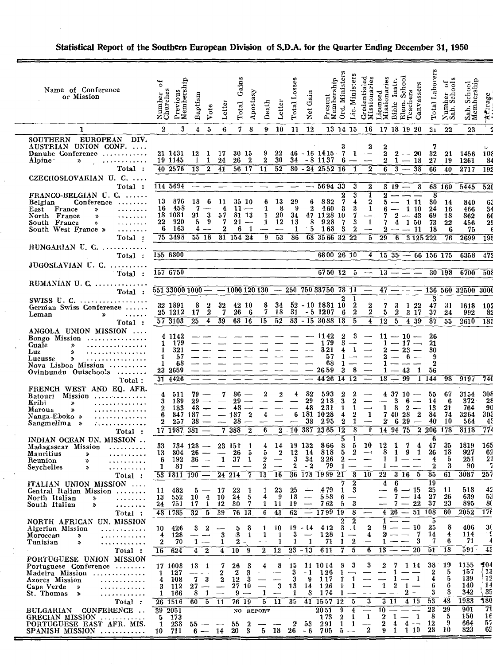| Name of Conference<br>or Mission                                                                                                                                                                                     | Previous<br>Membership<br>ัธ<br>Number<br>Churches                                                             | Baptism<br>Vote                                                            | Letter                                                       | Gains<br>Total                                                                                          | Apostasy<br>Death                                    | Letter                                   | Total Losses                               | Gain<br><b>Net</b>                                                    | Present<br>Membership                                                          | Ministers<br>Lic. Ministers<br>Ord.                                                                                                                        | Credentialed<br>Missionaries                                                                 | Licensed<br>Missionaries                                | Elem. School<br>Teachers<br>Instr.<br>Bible                                                      | Laborers<br>Canvassers<br><b>Total</b>                                                                            | Number of<br>Sab. Schools                     | Sab. School<br>Membership                           | Arrage                                                  |
|----------------------------------------------------------------------------------------------------------------------------------------------------------------------------------------------------------------------|----------------------------------------------------------------------------------------------------------------|----------------------------------------------------------------------------|--------------------------------------------------------------|---------------------------------------------------------------------------------------------------------|------------------------------------------------------|------------------------------------------|--------------------------------------------|-----------------------------------------------------------------------|--------------------------------------------------------------------------------|------------------------------------------------------------------------------------------------------------------------------------------------------------|----------------------------------------------------------------------------------------------|---------------------------------------------------------|--------------------------------------------------------------------------------------------------|-------------------------------------------------------------------------------------------------------------------|-----------------------------------------------|-----------------------------------------------------|---------------------------------------------------------|
| 1                                                                                                                                                                                                                    | 3<br>$\mathbf{2}$                                                                                              | 5<br>4                                                                     | 6                                                            | 7                                                                                                       | 8<br>9                                               | 10                                       | -11                                        | -12                                                                   |                                                                                | 13 14 15                                                                                                                                                   | 16                                                                                           |                                                         | 17 18 19 20                                                                                      | 21                                                                                                                | 22                                            | 23                                                  |                                                         |
| <b>EUROPEAN</b><br>DIV.<br><b>SOUTHERN</b><br>AUSTRIAN UNION CONF.<br>Danube Conference<br>Alpine <sup>-</sup><br>$\boldsymbol{\mathcal{P}}$<br>Total:                                                               | 21 1431<br>19 1145<br>40 2576                                                                                  | 12<br>$\mathbf{1}$<br>1<br>1<br>13<br>$\mathbf{2}$                         | 17<br>24<br>41                                               | 30 15<br>26<br>$\boldsymbol{2}$<br>56 17                                                                | 9<br>$\mathbf{2}$<br>$\overline{11}$                 | 22<br>-30<br>$\overline{52}$             | 34                                         |                                                                       | $46 - 16$ 14 15<br>$-8$ 1137<br>$80 - 24$ $2552$ $16$                          | 3<br>7<br>1<br>6<br>$\mathbf{1}$                                                                                                                           | $\boldsymbol{2}$<br>$\overline{\phantom{m}}$<br>$\overline{\phantom{0}}$<br>$\boldsymbol{2}$ | 2<br>$\boldsymbol{2}$<br>$\overline{6}$                 | $2 - 20$<br>$2 \quad 1 \quad - \quad 18$<br>$-3-$                                                | 7<br>32<br>27<br>$\overline{38}$<br>66                                                                            | 21<br>19<br>40                                | 1456<br>1261<br>2717                                | $-10$<br>8<br>19:                                       |
| CZECHOSLOVAKIAN U. C.                                                                                                                                                                                                |                                                                                                                |                                                                            |                                                              |                                                                                                         |                                                      |                                          |                                            |                                                                       |                                                                                |                                                                                                                                                            |                                                                                              |                                                         |                                                                                                  |                                                                                                                   |                                               |                                                     |                                                         |
| Total:<br>$FRANCO-BELGIAN U. C. \ldots$<br>Conference<br>Belgian<br>.<br>East France<br>$\boldsymbol{v}$<br>North France<br>.<br>X)<br>South France<br>.<br>»<br>South West France »<br>.<br>Total:                  | 114 5694<br>876<br>13<br>16 458<br>18 1081<br>920<br>22<br>6 163<br>75 3498                                    | 18<br>6<br>-7<br>3<br>21<br>9<br>5<br>4<br>$55\,18$                        | 11<br>4<br>57<br>7<br>$\boldsymbol{2}$                       | 35 10<br>$11 -$<br>81 13<br>21<br>$\overline{\phantom{a}}$<br>$\mathbf{1}$<br>6<br>$31$ 154 24          | 6<br>1<br>1<br>1,<br>g                               | 13<br>8<br>20<br>12<br>53                | 29<br>-9<br>34<br>13<br>-1<br>86           | 6<br>$\boldsymbol{2}$<br>8<br>5                                       | 569433<br>882<br>460<br>47 11 28 10<br>928<br>- 168<br>68 35 66 32             | 3<br>3<br>2<br>7<br>4<br>3<br>3<br>7<br>3<br>7<br>-3<br>$\boldsymbol{2}$<br>22                                                                             | $\boldsymbol{2}$<br>1<br>$\bf{2}$<br>$\mathbf{1}$<br>1<br>5                                  | $\overline{\mathbf{2}}$<br>7<br>7<br>$\mathbf{2}$<br>29 | $319 - 8$<br>$- - -$<br>$5 - 111$<br>1 10<br>$\boldsymbol{2}$<br>$-43$<br>4<br>1 50<br>— 11<br>6 | 8<br>30<br>24<br>69<br>73<br>18<br>3 1 2 5 2 2 2                                                                  | 68 160<br>- 14<br>-16<br>18<br>22<br>-6<br>76 | 5445<br>840<br>466<br>862<br>456<br>75<br>2699      | 52 <sub>0</sub><br>6<br>3.<br>6<br>2<br>$\overline{19}$ |
| $HUNGARIAN$ U. $C.$                                                                                                                                                                                                  |                                                                                                                |                                                                            |                                                              |                                                                                                         |                                                      |                                          |                                            |                                                                       |                                                                                |                                                                                                                                                            |                                                                                              |                                                         |                                                                                                  |                                                                                                                   |                                               |                                                     |                                                         |
| Total :<br>JUGOSLAVIAN U. C.                                                                                                                                                                                         | 155 6800                                                                                                       |                                                                            |                                                              |                                                                                                         |                                                      |                                          |                                            |                                                                       | 6800 26 10                                                                     |                                                                                                                                                            | $\overline{4}$                                                                               |                                                         | $15\,35 - 66\,156\,175$                                                                          |                                                                                                                   |                                               | 6358                                                | $\overline{47}$                                         |
| Total :                                                                                                                                                                                                              | 157 6750                                                                                                       |                                                                            |                                                              |                                                                                                         |                                                      |                                          |                                            |                                                                       | 6750 12                                                                        | -5                                                                                                                                                         |                                                                                              |                                                         | $13 - -$                                                                                         |                                                                                                                   | 30 198                                        | 6700                                                | 50                                                      |
| RUMANIAN U. $C_{n}$<br>Total:                                                                                                                                                                                        | $551\,33000\,1000 - -1000\,120\,130 - 250\,750\,33750\,78\,11$                                                 |                                                                            |                                                              |                                                                                                         |                                                      |                                          |                                            |                                                                       |                                                                                |                                                                                                                                                            | $\hspace{0.05cm}$                                                                            |                                                         | $47 - -$                                                                                         |                                                                                                                   |                                               | 136 560 32500 300                                   |                                                         |
| $SWISS$ U. $C.$<br>German Swiss Conference<br>Leman<br>$\boldsymbol{\Sigma}$<br>Total:                                                                                                                               | 32 1891<br>25 1212<br>57 3103                                                                                  | 8<br>2<br>2<br>17<br>$\overline{4}$<br>25                                  | 32<br>7<br>39                                                | 42 10<br>26<br>- 6<br>$68^{16}$                                                                         | 8<br>7.<br>15                                        | 34<br>18<br>52                           | 31                                         |                                                                       | $52 - 10$ 1881 10<br>$-5\,1207$<br>$83 - 15$ 3088 18                           | 2<br>1<br>$\boldsymbol{2}$<br>$\overline{2}$<br>6<br>5                                                                                                     | $\boldsymbol{2}$<br>$\boldsymbol{2}$<br>$\overline{4}$                                       | $\mathbf{7}$<br>5<br>$\overline{12}$                    | 3<br>1 22<br>$\bf{2}$<br>$3\quad17$<br>$\overline{5}$<br>439                                     | 3<br>47<br>37<br>$\overline{87}$                                                                                  | 31<br>24<br>55                                | 1618 10<br>992<br>2610                              | -81<br>18                                               |
| ANGOLA UNION MISSION<br>Bongo Mission $\cdots$<br>Cuale<br>.<br>»<br>Luz<br>. <i>. .</i><br>X)<br>Lucusse<br>.<br>$\boldsymbol{\mathcal{D}}$<br>Nova Lisboa Mission<br>$Ovinbundu$ Outschools $\dots\dots$<br>Total: | 4 1142<br>179<br>$\mathbf{1}$<br>$\mathbf{1}$<br>321<br>1<br>57<br>$\mathbf{1}$<br>68<br>23 2659<br>31 4426    |                                                                            |                                                              |                                                                                                         |                                                      |                                          |                                            |                                                                       | 1142<br>179<br>321<br>57<br>68<br>2659<br>44 26                                | 3<br>2<br>3<br>1<br>4<br>1<br>8<br>3<br>14<br>12                                                                                                           | $\overline{\phantom{a}}$                                                                     | 1<br>2<br>1<br>18                                       | $11 - 10 -$<br>$-17$<br>$-23$<br>-6<br>43<br>99                                                  | 26<br>$\overline{\phantom{a}}$<br>21<br>30<br>$\overline{\phantom{0}}$<br>$\boldsymbol{2}$<br>1<br>56<br>1<br>144 | 98                                            | 9197                                                | 74                                                      |
| FRENCH WEST AND EQ. AFR.<br>Batouri Mission<br>Kribi<br>»<br>Maroua<br>»<br>Nanga-Eboko »<br>Sangmelima »<br>. <i>.</i><br>Total :                                                                                   | 4<br>511<br>3<br>-189<br>$\mathbf 2$<br>183<br>847 187<br>6<br>$\boldsymbol{2}$<br>257<br>17 1987 381          | 79<br>29<br>48<br>38                                                       |                                                              | 86<br>29<br>48<br>187<br>38<br>$\overline{7}$ 388<br>$\overline{2}$                                     | 2<br>$\mathbf 2$<br>4<br>6                           | 2                                        | 4                                          | 82<br>29<br>48<br>38                                                  | 593<br>218<br>231<br>6 181 10 28<br>295<br>2 10 387 23 65                      | $\boldsymbol{2}$<br>$\boldsymbol{2}$<br>3<br>2<br>1<br>$\mathbf{1}$<br>$\overline{\mathbf{4}}$<br>2<br>$\boldsymbol{2}$<br>$\mathbf{1}$<br>$\overline{12}$ | 1<br>Ť                                                                                       | $\mathbf{1}$<br>$\boldsymbol{2}$                        | 4 37 10<br>3<br>6<br>8<br>$\boldsymbol{2}$<br>7 40 28<br>6 29<br>14 94 75                        | 55<br>14<br>$\overline{\phantom{m}}$<br>13<br>2<br>84<br>$\overline{\phantom{0}}$<br>40<br>$2\,206$               | 67<br>6<br>21<br>74<br>10<br>178              | 3154<br>$372^{\circ}$<br>764<br>3264<br>564<br>8118 | 30<br>21<br>-91<br>30,<br>4<br>77                       |
| INDIAN OCEAN UN. MISSION<br>Madagascar Mission<br>Mauritius<br>≫<br>Reunion<br>≫<br>.<br>Seychelles<br>$\gg$                                                                                                         | 33<br>13 804 26<br>6 192<br>81<br>1                                                                            | $734 \; 128 -$<br>$36 -$                                                   | $\overline{\phantom{a}}$<br>$\mathbf{1}$                     | 23 151<br>$\mathbf{1}$<br>26<br>5<br>37<br>1                                                            | 4<br>5<br>2<br>$\overline{13}$                       | $\overline{\phantom{0}}$                 | 14 19 132<br>$2 \quad 12$<br>3<br>2        | - 14<br>- 34<br>- 2                                                   | 866<br>818<br>226<br>79<br>36 178 1989 21                                      | 5<br>1<br>8<br>5<br>$\overline{2}$<br>5<br>$\boldsymbol{2}$<br>$\overline{\phantom{0}}$<br>1                                                               | 10<br>$-\rightarrow$<br>10                                                                   | 12<br>8<br>1<br>1<br>22                                 | 1<br>7<br>9<br>-1<br>1<br>$3\overline{16}$                                                       | 6<br>47<br>4<br>$\mathbf{1}$<br>26<br>4<br>2<br>$\overline{5}$<br>85                                              | 35<br>18<br>5<br>з<br>61                      | 1819<br>927<br>251<br>90<br>3087                    | 16<br>6.<br>$2^{\cdot}$<br>25'                          |
| Total :<br>ITALIAN UNION MISSION<br>Central Italian Mission<br>North Italian<br>.<br>≫<br>South Italian<br>$\boldsymbol{z}$<br>Total :                                                                               | 53 1811 190<br>482<br>11<br>13<br>552<br>24<br>751<br>48 1785                                                  | 5<br>10<br>4<br>$\mathbf{1}$<br>17<br>32<br>5                              | $24\overline{214}$<br>-17<br>10<br>12<br>39                  | 7<br>22<br>-1<br>24<br>5<br>7<br>30<br>76 13                                                            | 1<br>4<br>1<br>$\overline{6}$                        | 16<br>23<br>-9<br>11<br>43               | 25<br>18<br>19<br>62                       | $\frac{1}{2}$<br>$\overline{\phantom{a}}$<br>$\overline{\phantom{a}}$ | 479<br>558<br>762<br>1799<br>19                                                | 8<br>$\boldsymbol{2}$<br>- 3<br>$\mathbf{1}$<br>$6 -$<br>3<br>5<br>8                                                                                       |                                                                                              | 4<br>$\overline{\phantom{0}}$                           | 6<br>$6 \rightarrow 15$<br>$7 - 14$<br>$7-22$<br>$4\,26\,-\,51\,108$                             | 19<br>-25<br>-27<br>-37                                                                                           | -11<br>26<br>23<br>60                         | 518<br>639<br>895<br>2052                           | 42<br>5.<br>-81<br>$\overline{17}$                      |
| NORTH AFRICAN UN. MISSION<br>Algerian Mission<br>.<br>Moroccan<br>.<br>»<br>Tunisian<br>×,<br>.<br>Total :                                                                                                           | 10<br>-426<br>$\overline{4}$<br>128<br>$\boldsymbol{2}$<br>70<br>624<br>$\overline{16}$                        | 3<br>$\boldsymbol{2}$<br>-- -<br>$1 -$<br>$\overline{4}$<br>$\overline{2}$ | 3<br>1<br>$\overline{4}$                                     | 8<br>5<br>13<br>-1<br>$\boldsymbol{2}$<br>$\overline{\phantom{0}}$<br>$\overline{10}$<br>$\overline{9}$ | 1<br>1<br>$\overline{\phantom{a}}$<br>$\overline{2}$ | 10<br>1<br>1<br>$\overline{12}$          | 3<br>1<br>$\overline{23}$                  | $19 - 14$<br>$\overline{\phantom{a}}$<br>1<br>$-13$                   | 412<br>128<br>71<br>611                                                        | $\boldsymbol{2}$<br>$\boldsymbol{2}$<br>$3 \t1$<br>1.<br>$\boldsymbol{2}$<br>1<br>5<br>7                                                                   | $\boldsymbol{2}$<br>4<br>6                                                                   | 1<br>9.<br>$\mathbf{2}$<br>1<br>13                      | $-10$<br>$\overline{\phantom{m}}$<br>$\overline{\phantom{a}}$<br>$\overline{\phantom{m}}$        | 5<br>25<br>- 7<br>14<br>3<br>7<br>20<br>51                                                                        | 8<br>4<br>- 6<br>18                           | 406<br>114<br>71<br>591                             | 30<br>$\overline{4}$                                    |
| PORTUGUESE UNION MISSION<br>Portuguese Conference<br>Madeira Mission<br>Azores Mission<br>.<br>Cape Verde<br>≫<br>. <i>. .</i><br>St. Thomas<br>$\rightarrow$<br>.<br>Total:                                         | 17 1003<br>127<br>$\mathbf{1}$<br>108<br>$\overline{4}$<br>3 112<br>166<br>$\mathbf{1}$<br>$26\overline{1516}$ | 18 1<br>3<br>7<br>27<br>—∙<br>$\mathbf{1}$<br>8<br>60<br>$5^{\circ}$       | 7<br>2<br>$\boldsymbol{2}$<br>$\overline{\phantom{m}}$<br>11 | 26<br>3<br>2<br>3<br>12<br>-3<br>27 10<br>$9 -$<br>76 19                                                | 4<br>$\overline{\phantom{0}}$<br>$\mathbf{1}$<br>5   | 8<br>$\overline{\phantom{0}}$<br>3<br>11 | 15<br>3<br>3<br>13<br>1<br>35 <sub>1</sub> | $-1$<br>- 9<br>14<br>8                                                | 11 10 14<br>126<br>117<br>1 26<br>174<br>41 1557<br>12                         | 3<br>8<br>1<br>$\overline{\phantom{0}}$<br>$\mathbf{1}$<br>1<br>1<br>Ť.<br>1<br>5                                                                          | 3<br>$\overline{\phantom{0}}$<br>3                                                           | 2<br>$\mathbf{1}$<br>3                                  | 1 14<br>7<br>1<br>$\overline{\mathbf{2}}$<br>$\mathbf{1}$<br>$2 -$<br>11<br>4 15                 | 38<br>$\boldsymbol{2}$<br>$\mathbf{1}$<br>4<br>6<br>3<br>53                                                       | 19<br>5<br>5<br>6<br>8<br>43                  | 1155<br>157<br>139<br>140<br>342<br>1933            | 504<br>$\mathbf{1}$<br>12<br>14<br>35<br>180            |
| CONFERENCE<br><b>BULGARIAN</b><br>GRECIAN MISSION<br>PORTUGUESE EAST AFR. MIS.<br>$SPANISH$ $MISSION$ $\ldots$ $\ldots$ $\ldots$                                                                                     | $39 - 2051$<br>-173<br>5<br>238<br>1<br>711<br>10                                                              | $55 - -$                                                                   |                                                              | $\boldsymbol{2}$<br>55<br>$6 - 14$ 20 3                                                                 | NO REPORT<br>$\overline{\phantom{m}}$                | $\overline{\phantom{m}}$                 | 2                                          | -53                                                                   | 2051<br>173<br>291<br>$5\quad 18\quad 26\quad -6\quad 705\quad 5\ \rightarrow$ | $\overline{4}$<br>9<br>$\boldsymbol{2}$<br>1<br>$\mathbf{1}$<br>1                                                                                          | 1<br>$\overline{\phantom{0}}$<br>$\boldsymbol{2}$                                            | 10<br>2<br>$\overline{\mathbf{2}}$<br>9.                | 1<br>$-1$<br>$4 -$<br>4<br>$1 \t110$                                                             | 23<br>8<br>12<br>28                                                                                               | 29<br>5<br>9<br>10                            | 901<br>150<br>664<br>823                            | 71<br>16<br>57<br>62                                    |

# Statistical Report of the Southern European Division of S.D.A. for the Quarter Ending December 31, 1950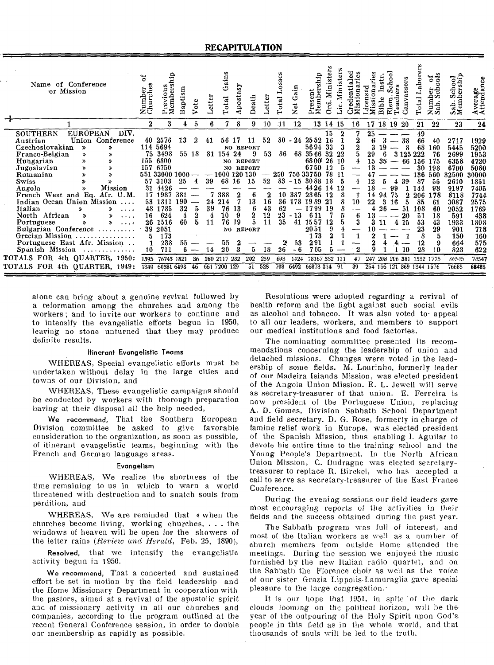| Name of Conference<br>or Mission                   | $4 - 1$<br>Number<br>Churches | ۾.<br>emb<br>⋗<br>مە | aptism<br>≃ | $\mathfrak{e}$ | etter | aims<br>ق<br>Total | postasy | Death            | etter    | ses<br>ë<br>Total | مين<br>م<br>ت<br>Xet           | ship<br>resent<br>.bet<br>Mem | ter<br>öā<br>ś | ω   |    | cen<br>SS <sub>1</sub> | ibie | 당<br>dag<br>Elem | $\overline{\mathbf{s}}$<br>anva | abo<br>Total | ह<br>ન્ડ<br>ల<br>ក្នុង<br>កំពុំ<br>Num<br>Sab. | ó<br>$\circ$<br>ಕ<br>w<br>g<br>ಀಁೱ | ω<br>.verage<br>.ttends<br>∢≺ |
|----------------------------------------------------|-------------------------------|----------------------|-------------|----------------|-------|--------------------|---------|------------------|----------|-------------------|--------------------------------|-------------------------------|----------------|-----|----|------------------------|------|------------------|---------------------------------|--------------|------------------------------------------------|------------------------------------|-------------------------------|
|                                                    | 2                             |                      |             |                |       |                    |         | 9                | 10       | $\overline{11}$   | 12                             |                               | 13 14          | -15 | 16 | 17                     | 18   | 19               | -20                             | 21           | 22                                             | 23                                 | 24                            |
| DIV.<br><b>EUROPEAN</b><br><b>SOUTHERN</b>         |                               |                      |             |                |       |                    |         |                  |          |                   |                                |                               | 15             |     |    | 25                     |      |                  |                                 | 49           |                                                |                                    |                               |
| Conference<br>Union<br>Austrian                    |                               | 40 2576              | 13          |                | 41    |                    |         |                  | 52       | 80                | $-24$                          | 2552                          | 16             |     |    |                        |      |                  | 38                              | 66           | 40                                             | 2717                               | 1929                          |
| Czechoslovakian<br>$\boldsymbol{\mathcal{P}}$<br>≫ |                               | 114 5694             |             |                |       |                    |         | NO REPORT        |          |                   |                                | 5694                          | -33            |     |    |                        |      |                  |                                 | 68           | 160                                            | 5445                               | 5200                          |
| Franco-Belgian<br>$\rightarrow$<br>»               | 75.                           | 3498                 | 55 18       |                | 81    | 154                | 24      | 9                | 53       | 86                | 68                             | 35 66                         | 32             | -22 |    | 29                     |      |                  | 3 1 2 5                         |              | 76                                             | 2699                               | 1953                          |
| Hungarian<br>»<br>≫                                | 155                           | 6800                 |             |                |       | NO.                |         | <b>REPORT</b>    |          |                   |                                | 6800                          | 26             | -10 |    | 15                     |      |                  | 66                              | 156          | 175                                            | 6358                               | 4720                          |
| Jugoslavian<br>»<br>»                              | 157                           | 6750                 |             |                |       | NO.                |         | <b>REPORT</b>    |          |                   |                                | 6750                          | 12             |     |    | 13                     |      |                  |                                 | 30           | 198                                            | 6700                               | 5080                          |
| Rumanian                                           | 551                           | 33000                | -1000       |                |       | 1000 120 130       |         |                  |          | 250               |                                | 750 33750                     | 78             |     |    |                        |      |                  |                                 | 136          | 560                                            | 32500                              | 30000                         |
| Swiss                                              | 57                            | 3103                 | 25          |                | 39    | 68                 | 16      | 15               | 52       | 83                | 15<br>$\overline{\phantom{a}}$ | 30                            | 18             |     | 4  |                        |      |                  | 39                              | 87           | 55                                             | 2610                               | 1851                          |
| Mission<br>Angola                                  | 31                            | 4426                 |             |                |       |                    |         |                  |          |                   |                                |                               | 14             |     |    |                        |      | 99               |                                 | 14           | 98                                             | 9197                               | 7405                          |
| French West and Eq.<br>Afr. U.M.                   | 17                            | 1987                 | 381         |                |       | 388                |         |                  | 2        | 10                | 387                            | 2365                          |                |     |    | 4                      |      | 75               |                                 | 206          | 178                                            | 8118                               | 7744                          |
| Indian Ocean Union Mission<br>$\ddotsc$            | 53                            | 1811                 | 190         |                | 24    | 214                |         | 13               | 16       | 36                | 178                            | 1989                          | 21             |     | 10 | 22                     |      | 16               |                                 | 85           | 61                                             | 3087                               | 2575                          |
| Italian<br>X,<br>≫<br>.                            | 48                            | 1785                 | 32          | 5              | 39    | 76                 | 13      | 6                | 43       | 62                |                                | 1799                          | -19            |     |    |                        |      |                  | 51                              | 108          | 60                                             | 2052                               | 1769                          |
| North African<br>≫                                 | 16                            | 624                  | 4           | 2<br>5         |       | 10                 | 9       | $\boldsymbol{2}$ | 12<br>11 | 23<br>35          | $-13$                          | 611                           |                | 5   | 6  |                        |      |                  |                                 | 51           | 18                                             | 591                                | 438                           |
| Portuguese<br>≫                                    | 26                            | 1516                 | 60          |                | 11    | 76                 | 19      |                  |          |                   | 41                             | 1557                          | 12             |     |    |                        |      |                  | 15                              | 53           | 43                                             | 1933                               | 1808                          |
| Bulgarian Conference<br>. <i>.</i>                 | 39                            | 2051                 |             |                |       |                    |         | NO REPORT        |          |                   |                                | 2051                          | 9              |     |    |                        |      |                  |                                 | 23           | 29                                             | 901                                | 718                           |
| Grecian Mission                                    | 5                             | 173                  |             |                |       |                    |         |                  |          |                   |                                | 173                           |                |     |    |                        |      |                  |                                 | 8            | 5                                              | 150                                | 160                           |
| Portuguese East Afr. Mission                       | 1                             | 238                  |             |                |       | 55<br>20           |         |                  | 18       |                   | 53                             | 291<br>705                    |                |     |    |                        |      |                  |                                 | 12<br>28     | 9                                              | 664                                | 575                           |
| Spanish Mission<br><b>.</b>                        | 10                            | 711                  |             |                |       |                    |         | 5                |          | 26                |                                |                               |                |     |    |                        |      |                  |                                 |              | 10                                             | 823                                | 622                           |
| FOR 4th QUARTER, 1950:<br><b>TOTALS</b>            | 1395                          | 76743 1821           |             | 36             | 260   | 2117               | 232     | 202              | 259      | 693               | 1424                           | 78167                         |                |     |    | 247                    | 208  | 206              | 381                             | 1532 1775    |                                                | 86545                              | 74547                         |
| TOTALS FOR 4th QUARTER, 1949:                      | 1349                          | 60381                | 6493        | 46             | 661   | 7200               | 129     | 51               | 528      | 708               | 6492                           | 66873314                      |                | -91 | 39 | 254                    | -156 | 121              | 369                             | 1344 1576    |                                                | 76685                              | 68485                         |

alone can bring about a genuine revival followed by a reformation among the churches and among the workers; and to invite our workers to continue and to intensify the evangelistic efforts begun in 1950, leaving no stone unturned that they may produce definite results.

### Itinerant Evangelistic Teams

WHEREAS, Special evangelistic efforts must be undertaken without delay in the large cities and towns of our Division, and

WHEREAS, These evangelistic campaigns should be conducted by workers with thorough preparation having at their disposal all the help needed,

We recommend, That the Southern European Division committee be asked to give favorable consideration to the organization, as soon as possible, of itinerant evangelistic teams, beginning with the French and German language areas.

### Evangelism

WHEREAS, We realize the shortness of the time remaining to us in which to warn a world threatened with destruction and to snatch souls from perdition, and

WHEREAS, We are reminded that e when the churches become living, working churches, . . . the windows of heaven will be open for the showers of the letter rains *(Review and Herald,* Feb. 25, 1890),

Resolved, that we intensify the evangelistic activity begun in 1950.

We recommend, That a concerted and sustained effort be set in motion by the field leadership and the Home Missionary Department in cooperation with the pastors, aimed at a revival of the apostolic spirit and of missionary activity in all our churches and companies, according to the program outlined at the recent General Conference session, in order to double our membership as rapidly as possible.

Resolutions were adopted regarding a revival of health reform and the fight against such social evils as alcohol and tobacco. It was also voted to• appeal to all our leaders, workers, and members to support our medical institutions and food factories.

The nominating committee presented its recommendations concerning the leadership of union and detached missions. Changes were voted in the leadership of some fields. M. Lourinho, formerly leader of our Madeira Islands Mission, was elected president of the Angola Union Mission. E. L. Jewell will serve as secretary-treasurer of that union. E. Ferreira is now president of the Portuguese Union, replacing A. D. Gomes, Division Sabbath School Department and field secretary. D. G. Rose, formerly in charge of famine relief work in Europe, was elected president of the Spanish Mission, thus enabling I. Aguilar to devote his entire time to the training school and the Young People's Department. In the North African Union Mission, C. Dudragne was elected secretarytreasurer to replace R. Birckel, who has accepted a call to serve as secretary-treasurer of the East France Conference.

During the evening sessions our field leaders gave most encouraging reports of the activities in their fields and the success obtained during the past year.

The Sabbath program was full of interest, and most of the Italian workers as well as a number of church members from outside Rome attended the meetings. During the session we enjoyed the music furnished by the new Italian radio quartet, and on the Sabbath the Florence choir as well as the voice of our sister Grazia Lippolis-Lamuraglia gave special pleasure to the large congregation.

It is our hope that  $1951$ , in spite of the dark clouds looming on the political horizon, will be the year of the outpouring of the Holy Spirit upon God's people in this field as in the whole world, and that thousands of souls will be led to the truth.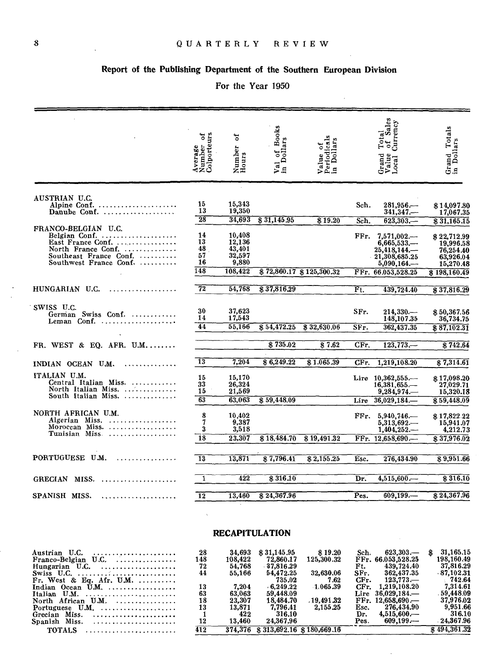# Report of the Publishing Department of the Southern European Division

# For the Year 1950

|                                                                                                                                     | Number of<br>Colporteurs<br>Average | ัธ<br>Number<br>Hours                                    | 1 of Books<br>Dollars<br>$\vec{P}$ n | Value of<br>Periodicals<br>in Dollars |                           | Sales<br>Currency<br>Total<br>of S <sub>s</sub><br>$\begin{array}{c} \text{Grand} \\ \text{Value} \\ \text{Local} \end{array}$ | Grand Totals<br>in Dollars                                                      |
|-------------------------------------------------------------------------------------------------------------------------------------|-------------------------------------|----------------------------------------------------------|--------------------------------------|---------------------------------------|---------------------------|--------------------------------------------------------------------------------------------------------------------------------|---------------------------------------------------------------------------------|
|                                                                                                                                     |                                     |                                                          |                                      |                                       |                           |                                                                                                                                |                                                                                 |
| AUSTRIAN U.C.<br>Alpine Conf.<br>Danube Conf.                                                                                       | 15<br>13                            | 15,343<br>19,350                                         |                                      |                                       | Sch.                      | 281.956.—                                                                                                                      | \$14,097.80<br>17.067.35                                                        |
|                                                                                                                                     | $\overline{28}$                     | 34,693                                                   | 831,145.95                           | 819.20                                | Sch.                      | $623.303 -$                                                                                                                    | 831,165.15                                                                      |
| FRANCO-BELGIAN U.C.<br>Belgian Conf.<br>East France Conf.<br>North France Conf.<br>Southeast France Conf.<br>Southwest France Conf. | 14<br>13<br>48<br>57<br>16<br>148   | 10,408<br>12,136<br>43,401<br>32,597<br>9,880<br>108,422 |                                      | \$72,860.17 \$125,300.32              | FFr.                      | $7,571,002-$<br>6,665,533<br>25,418,144.—<br>21,308,685.25<br>5.090.164<br>FFr. 66.053.528.25                                  | \$22,712.99<br>19,996.58<br>76,254.40<br>63,926.04<br>15,270.48<br>\$198,160.49 |
|                                                                                                                                     |                                     |                                                          |                                      |                                       |                           |                                                                                                                                |                                                                                 |
| HUNGARIAN U.C.<br>. <i>. .</i> .                                                                                                    | $\overline{72}$                     | 54.768                                                   | $\overline{$}37,816.29$              |                                       | $\overline{\mathrm{Ft.}}$ | 439.724.40                                                                                                                     | \$37,816.29                                                                     |
| SWISS U.C.<br>German Swiss Conf.<br>Leman Conf. $\dots\dots\dots\dots\dots\dots\dots$                                               | 30<br>14<br>$\overline{44}$         | 37,623<br>17,543<br>55,166                               | \$54,472.25                          | \$32,630.06                           | SFr.<br>SFr.              | $214.330-$<br>148,107.35<br>362,437.35                                                                                         | \$50,367.56<br>36,734.75<br>\$87.102.31                                         |
| FR. WEST $\&$ EQ. AFR. U.M                                                                                                          |                                     |                                                          | \$735.02                             | $\overline{8}7.62$                    | $CFr$ .                   | $123,773-$                                                                                                                     | \$742.64                                                                        |
|                                                                                                                                     |                                     |                                                          |                                      |                                       |                           |                                                                                                                                |                                                                                 |
| INDIAN OCEAN U.M.<br>. <i>. . .</i>                                                                                                 | 13                                  | 7.204                                                    | 86,249.22                            | \$1.065.39                            | CFr.                      | 1,219,108.20                                                                                                                   | \$7,314.61                                                                      |
| ITALIAN U.M.<br>Central Italian Miss.<br>North Italian Miss.<br>South Italian Miss.                                                 | 15<br>33<br>15                      | 15,170<br>26,324<br>21,569                               |                                      |                                       |                           | Lire 10,362,555.-<br>$16,381,655-$<br>$9,284,974-$                                                                             | \$17,098.20<br>27,029.71<br>15,320.18                                           |
|                                                                                                                                     | $\overline{63}$                     | 63.063                                                   | \$59,448.09                          |                                       |                           | Lire $36,029,184$ .                                                                                                            | \$59,448.09                                                                     |
| NORTH AFRICAN U.M.<br>Algerian Miss.<br>Morocean Miss.<br>Tunisian Miss                                                             | 8<br>7<br>3                         | 10,402<br>9,387<br>3,518                                 |                                      |                                       | FFr.                      | 5,940,746<br>$5,313,692-$<br>$1.404.252-$                                                                                      | \$17,822.22<br>15,941.07<br>4,212.73                                            |
|                                                                                                                                     | 18                                  | 23,307                                                   | \$18,484.70                          | \$19,491.32                           |                           | FFr. 12,658,690                                                                                                                | \$37,976.02                                                                     |
| PORTUGUESE U.M.                                                                                                                     | $\overline{13}$                     | 13,871                                                   | \$7,796.41                           | \$2,155.25                            | Esc.                      | 276,434.90                                                                                                                     | 89,951.66                                                                       |
| GRECIAN MISS.<br>. <i>.</i> .                                                                                                       | 1                                   | 422                                                      | 8316.10                              |                                       | Dr.                       | 4,515,600                                                                                                                      | 8316.10                                                                         |
| SPANISH MISS.<br>.                                                                                                                  | $\overline{12}$                     | 13,460                                                   | \$24,367.96                          |                                       | Pes.                      | 609,199                                                                                                                        | \$24,367.96                                                                     |
|                                                                                                                                     |                                     |                                                          |                                      |                                       |                           |                                                                                                                                |                                                                                 |

# **RECAPITULATION**

|     |          |          |             |                                                                                                                                          |                                           | 31.165.15<br>S.                                                                                                        |
|-----|----------|----------|-------------|------------------------------------------------------------------------------------------------------------------------------------------|-------------------------------------------|------------------------------------------------------------------------------------------------------------------------|
| 148 | 108.422  |          | 125.300.32  |                                                                                                                                          |                                           | 198,160,49                                                                                                             |
| 72  | 54.768   |          |             | Ft.                                                                                                                                      | 439.724.40                                | 37,816.29                                                                                                              |
| 44  | 55,166   |          |             | SFr.                                                                                                                                     | 362.437.35                                | $-87,102.31$                                                                                                           |
|     |          |          | 7.62        |                                                                                                                                          | $123.773$ —                               | $-742.64$                                                                                                              |
| 13  | 7.204    |          | $-1.065.39$ |                                                                                                                                          |                                           | 7,314,61                                                                                                               |
|     | 63.063   |          |             |                                                                                                                                          |                                           | .59.448.09                                                                                                             |
| 18  | 23.307   |          | .19.491.32  |                                                                                                                                          |                                           | 37,976.02                                                                                                              |
| 13  | 13.871   | 7.796.41 | 2.155.25    |                                                                                                                                          | 276.434.90                                | 9.951.66                                                                                                               |
|     | 422      |          |             | Dr.                                                                                                                                      | $4.515.600 -$                             | 316.10                                                                                                                 |
| 12  | 13.460   |          |             | Pes.                                                                                                                                     | $609.199 -$                               | 24,367.96                                                                                                              |
| 412 |          |          |             |                                                                                                                                          |                                           | \$494,361.32                                                                                                           |
|     | 28<br>63 | 34,693   | \$31,145.95 | \$19.20<br>72.860.17<br>$-37.816.29$<br>32.630.06<br>54.472.25<br>735.02<br>$-6.249.22$<br>59.448.09<br>18.484.70<br>316.10<br>24.367.96 | $374,376$ \$ $313,692,16$ \$ $180,669,16$ | 623.303<br>Sch.<br>FFr. 66.053,528.25<br>CFr.<br>CFr. 1.219.108.20<br>Lire $36,029,184$<br>$FFr. 12.658.690 -$<br>Esc. |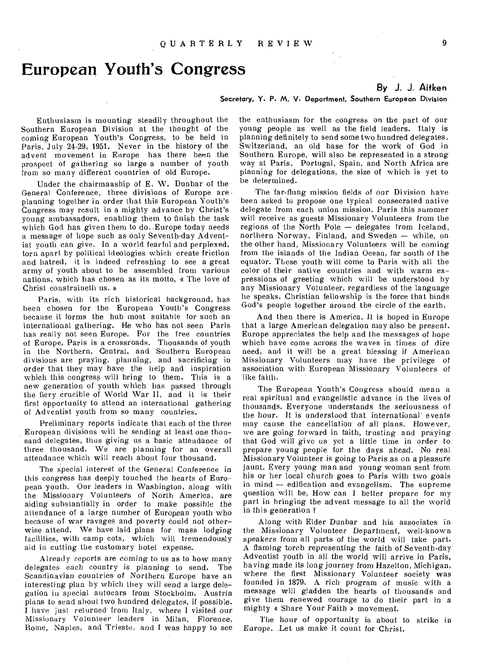# **European Youth's Congress**

### **By J. J. Aitken**

### Secretary, Y. P. M. V. Department, Southern European Division

Enthusiasm is mounting steadily throughout the Southern European Division at the thought of the coming European Youth's Congress, to be held in Paris, July 24-29, 1951. Never in the history of the advent movement in Europe has there been the prospect of gathering so large a number of youth from so many different countries of old Europe.

Under the chairmanship of E. W. Dunbar of the General Conference, three divisions of Europe are • planning together in order that this European Youth's Congress may result in a mighty advance by Christ's young ambassadors, enabling them to finish the task which God has given them to do. Europe today needs a message of hope such as only Seventh-day Adventist youth can give. In a world fearful and perplexed, torn apart by political ideologies which create friction and hatred, it is indeed refreshing to see a great army of youth about to be assembled from various nations, which has chosen as its motto, a The love of Christ constraineth us. »

Paris, with its rich historical background, has been chosen for the European Youth's Congress because it forms the hub most suitable for such an international gathering. He who has not-seen Paris has really not seen Europe. For the free countries of Europe, Paris is a crossroads. Thousands of youth in the Northern, Central, and Southern European divisions are praying, planning, and sacrificing in order that they may have the help and inspiration which this congress will bring to them. This is a new generation of youth which has passed through the fiery crucible of World War II, and it is their first opportunity to attend an international gathering of Adventist youth from so many countries.

Preliminary reports indicate that each of the three European divisions will be sending at least one thousand delegates, thus giving us a basic attendance of three thousand. We are planning for an overall attendance which will reach about four thousand.

The special interest of the General Conference in this congress has deeply touched the hearts of European youth. Our leaders in Washington, along with the Missionary Volunteers of North America, are aiding substantially in order to make possible the attendance of a large number of European youth who because of war ravages and poverty could not otherwise attend. We have laid plans for mass lodging facilities, with camp cots, which will tremendously aid in cutting the customary hotel expense.

Already reports are *coming* to us as to how many delegates each country is planning to send. The Scandinavian countries of Northern Europe have an interesting plan by which they will send a large delegation in special autocars from Stockholm. Austria plans to send about two hundred delegates, if possible. I have just returned from Italy, where I visited our Missionary Volunteer leaders in Milan, Florence, Rome, Naples, and Trieste, and I was happy to see

the enthusiasm for the congress on the part of our young people as well as the field leaders. Italy is planning definitely to send some two hundred delegates. Switzerland, an old base for the work of God in Southern Europe, will also be represented in a strong way at Paris. Portugal, Spain, and North Africa are planning for delegations, the size of which is yet to be determined.

The far-flung mission fields of our Division have been asked to propose one typical consecrated native delegate from each union mission. Paris this summer will receive as guests Missionary Volunteers from the regions of the North Pole — delegates from Iceland, northern Norway, Finland, and Sweden — while, on the other hand, Missionary Volunteers will be coming from the islands of the Indian Ocean, far south of the equator. These youth will come to Paris with all the color of their native countries and with warm expressions of greeting which will be understood by any Missionary Volunteer, regardless of the language he speaks. Christian fellowship is the force that binds God's people together around the circle of the earth.

And then there is America. It is hoped in Europe that a large American delegation may also be present. Europe appreciates the help and the messages of hope which have come across the waves in times of dire need, and it will be a great blessing if American Missionary Volunteers may have the privilege of association with European Missionary Volunteers of like faith.

The European Youth's Congress should mean a real spiritual and evangelistic advance in the lives of thousands. Everyone understands the seriousness of the hour. It is understood that international events may cause the cancellation of all plans. However, we are going forward in faith, trusting and praying that God will give *us* yet a little time in order to prepare young people for the days ahead. No real Missionary Volunteer is going to Paris as on a pleasure jaunt. Every young man and *young* woman sent from his or her local church goes to Paris with two goals in mind — edification and evangelism. The supreme question will be, How can I better prepare for my part in bringing the advent message to all the world in this generation ?

Along with Elder Dunbar and his associates in the Missionary Volunteer Department, well-known speakers from all parts of the world will take part. A flaming torch representing the faith of Seventh-day Adventist youth in all the world will arrive in Paris, having made its long journey from Hazelton, Michigan, where the first Missionary Volunteer society was founded in 1879. A rich program of music with a message will gladden the hearts of thousands and give them renewed courage to do their part in a mighty « Share Your Faith » movement.

The hour of opportunity is about to strike in Europe. Let us make it count for Christ.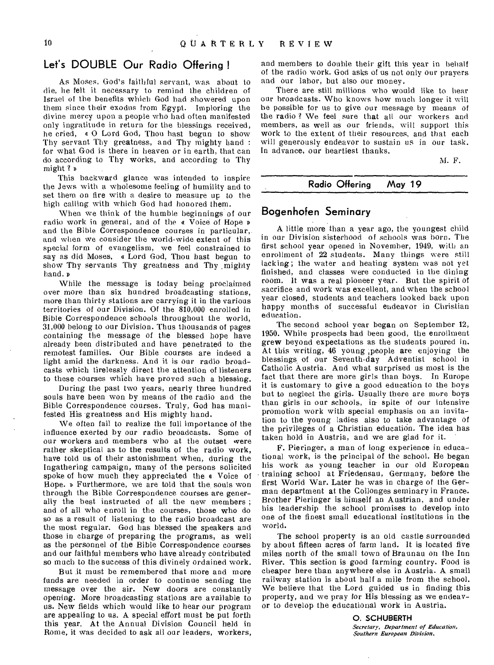# **Let's DOUBLE Our Radio Offering !**

As Moses, God's faithful servant, was about to die, he felt it necessary to remind the children of Israel of the benefits which God had showered upon them since their exodus from Egypt. Imploring the divine mercy upon a people who had often manifested only ingratitude in return for the blessings received, he cried, a 0 Lord God, Thou hast begun to show Thy servant Thy greatness, and Thy mighty hand : for what God is there in heaven or in earth, that can do according to Thy works, and according to Thy might ?

This backward glance was intended to inspire the Jews with a wholesome feeling of humility and to set them on fire with a desire to measure up to the high calling with which God had honored them.

When we think of the humble beginnings of our radio work in general, and of the a Voice of Hope » and the Bible Correspondence courses in particular, and when we consider the world-wide extent of this special form of evangelism, we feel constrained to say as did Moses, a Lord God, Thou hast begun to show Thy servants Thy greatness and Thy mighty hand.

While the message is today being proclaimed over more than six hundred broadcasting stations, more than thirty stations are carrying it in the various territories of our Division. Of the 810,000 enrolled in Bible Correspondence schools throughout the world, 31,000 belong to our Division. Thus thousands of pages containing the message of the blessed hope have already been distributed and have penetrated to the remotest families. Our Bible courses are indeed a light amid the darkness. And it is our radio broadcasts which tirelessly direct the attention of listeners to these courses which have proved such a blessing.

During the past two years, nearly three hundred souls have been won by means of the radio and the Bible Correspondence courses. Truly, God has manifested His greatness and His mighty hand.

We often fail to realize the full importance of the influence exerted by our radio broadcasts. Some of our workers and members who at the outset were rather skeptical as to the results of the radio work, have told us of their astonishment when, during the Ingathering campaign, many of the persons solicited spoke of how much they appreciated the « Voice of Hope. » Furthermore, we are told that the souls won through the Bible Correspondence courses are generally the best instructed of all the new members ; and of all who enroll in the courses, those who do so as a result of listening to the radio broadcast are the most regular. God has blessed the speakers and those in charge of preparing the programs, as well as the personnel of the Bible Correspondence courses and our faithful members who have already contributed so much to the success of this divinely ordained work.

But it must be remembered that more and more funds are needed in order to continue sending the message over the air. New doors are constantly opening. More broadcasting stations are available to us. New fields which would like to hear our program are appealing to us. A special effort must be put forth this year. At the Annual Division Council held in Rome, it was decided to ask all our leaders, workers,

and members to double their gift this year in behalf of the radio work. God asks of us not only our prayers and our labor, but also our money.

There are still millions who would like to hear our broadcasts. Who knows how much longer it will be possible for us to give our message by means of the radio ? We feel sure that all our workers and members, as well as our friends, will support this work to the extent of their resources, and that each will generously endeavor to sustain us in our task. In advance, our heartiest thanks.

M. F.

### **Radio Offering May 19**

## **Bogenhofen Seminary**

A little more than a year ago, the youngest child in our Division sisterhood of schools was born. The first school year opened in November, 1949, with an enrollment of 22 students. Many things were still lacking; the water and heating system was not yet finished, and classes were conducted in the dining room. It was a real pioneer year. But the spirit of sacrifice and work was excellent, and when the school year closed, students and teachers looked back upon happy months of successful endeavor in Christian education.

The second school year began on September 12, 1950. While prospects had been good, the enrollment grew beyond expectations as the students poured in. At this writing, 46 young ,people are enjoying the blessings, of our Seventh-day Adventist school in Catholic Austria. And what surprised us most is the fact that there are more girls than boys. In Europe it is customary to give a good education to the boys but to neglect the girls. Usually there are more boys than girls in our schools, in- spite of our intensive promotion work with special emphasis on an invitation to the young ladies also to take advantage of the privileges of a Christian education. The idea has taken hold in Austria, and we are glad for it.

F. Pieringer, a man of long experience in educational work, is the principal of the school. He began his work as young teacher in our old European training school at Friedensau, Germany, before the first World War. Later he was in charge of the German department at the Collonges seminary in France. Brother Pieringer is himself an Austrian, and under his leadership the school promises to develop into one of the finest small educational institutions in the world.

The school property is an old castle surrounded by about fifteen acres of farm land. It is located five miles north of the small town of Braunau on the Inn River. This section is good farming country. Food is cheaper here than anywhere else in Austria. A small railway station is about half a mile from the school. We believe that the Lord guided us in finding this property, and we pray for His blessing as we endeavor to develop the educational work in Austria.

> 0. SCHUBERTH *Secretary, Department of Education, Southern European Division.*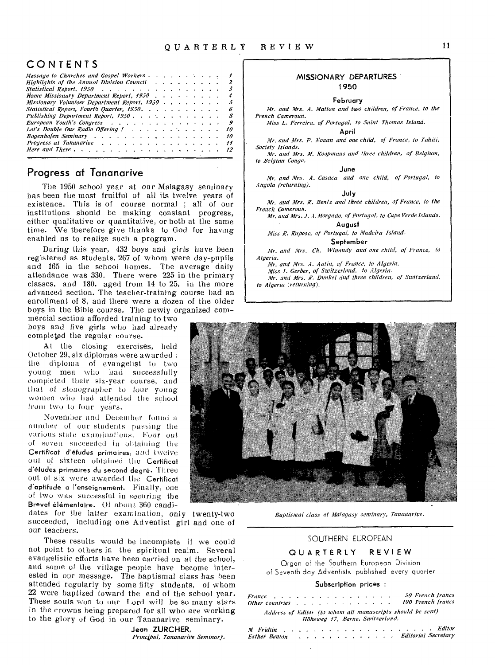# CONTENTS

| Message to Churches and Gospel Workers $\dots$ , $\dots$ , $\dots$ , $\dots$<br>Highlights of the Annual Division Council (a) a containing the contact of the Annual Division Council (b) |
|-------------------------------------------------------------------------------------------------------------------------------------------------------------------------------------------|
|                                                                                                                                                                                           |
| Statistical Report, 1950<br>3                                                                                                                                                             |
| Home Missionary Department Report, 1950<br>4                                                                                                                                              |
| Missionary Volunteer Department Report, 1950<br>5                                                                                                                                         |
| Statistical Report, Fourth Quarter, 1950.<br>6                                                                                                                                            |
| - 8                                                                                                                                                                                       |
| European Youth's Congress<br>$\overline{g}$                                                                                                                                               |
| Let's Double Our Radio Offering ! 10                                                                                                                                                      |
| Boaenhofen Seminary<br>10                                                                                                                                                                 |
| Progress at Tananarive<br>11                                                                                                                                                              |
| 12                                                                                                                                                                                        |
|                                                                                                                                                                                           |

# **Progress at Tananarive**

The 1950 school year at our Malagasy seminary has been the most fruitful of all its twelve years of existence. This is of course normal ; all of our institutions should he making constant progress, either qualitative or quantitative, or both at the same time. We therefore give thanks to God for having enabled us to realize such a program.

During this year, 432 boys and girls have been registered as students, 267 of whom were day-pupils. and 165 in the school homes. The average daily attendance was 330. There were 225 in the primary classes, and 180, aged from 14 to 25, in the more advanced section. The teacher-training course had an enrollment of 8, and there were a dozen of the older boys in the Bible course. The newly organized com-

mercial section afforded training to two boys and five girls who had already completed the regular course.

At the closing exercises, held October 29, six diplomas were awarded : the diploma of evangelist to two young men who had successfully completed their six-year course, and that of stenographer to four young women who had attended the school from two to four years.

November and December found a number of our students passing the various stale examinations. Four out of seven succeeded in obtaining the Certificat d'etudes primaires, and twelve out of sixteen obtained the Certificat d'éfudes primaires du second degré. Three out of six were awarded the Certificat d'aptitude a l'enseignement. Finally, one of two was successful in securing the Brevet élémentaire. Of about 360 candi-

dates for the latter examination, only twenty-two succeeded, including one Adventist girl and one of our teachers.

These results would be incomplete if we could not point to others in the spiritual realm. Several evangelistic efforts have been carried on at the school, and some of the village people have become interested in our message. The baptismal class has been attended regularly by some fifty students, of whom 22 were baptized toward the end of the school year. These souls won to our Lord will be so many stars in the crowns being prepared for all who are working to the glory of God in our Tananarive seminary.

> Jean ZURCHER, *Principal, Tananarive Seminary.*

### MISSIONARY DEPARTURES - 1950

### February

*Mr. and Mrs. A. Mallon and two children, of France, to the* 

*French Cameroun. Miss L. Ferreira, of Portugal, to Saint Thomas Island.* 

April

*Mr. and Mrs. P. Kaman and one child, of France, to Tahiti, Society Islands.* 

*Mr. and Mrs. M. Koopmans and three children, of Belgium, to Belgian Congo.* 

June

*Mr. and Mrs. A. Casaca and one child, of Portugal, to Angola (returning).* 

July

*Mr. and Mrs. R. Bentz and Three children, of France, to the French Cameroun.* 

*Mr. and Mrs. J. A. Morgado, of Portugal, to Cape Verde Islands.*  August

*Miss R. Raposo, of Portugal, to Madeira Island.* 

September

*Mr. and Mrs. Ch. Winandy and one child, of France, to Algeria.* 

*Mr. and Mrs. A. Autin, of France, to Algeria.* 

*Miss I. Gerber, of Switzerland, to Algeria. Mr. and Mrs. R. Dunkel and three children, of Switzerland,* 

*to Algeria (returning).* 



*Baptismal class at Malagasy seminary, Tananarive.* 

### SOUTHERN EUROPEAN

### QUARTERLY REVIEW

Organ of the Southern European Division of Seventh-day Adventists published every quarter

### Subscription prices :

| France $\cdots$ . $\cdots$ . $\cdots$ . $\cdots$ |  |  |  |                                 |  |  |  |  | 50 French francs<br>Other countries 100 French francs      |
|--------------------------------------------------|--|--|--|---------------------------------|--|--|--|--|------------------------------------------------------------|
|                                                  |  |  |  | Höheweg 17, Berne, Switzerland. |  |  |  |  | Address of Editor (to whom all manuscripts should be sent) |

*Al Fridlin Esther Benton Editor Editorial Secretary*